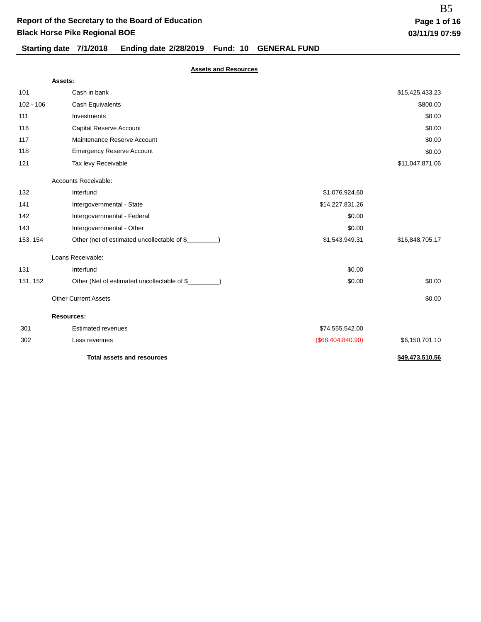# **Starting date 7/1/2018 Ending date 2/28/2019 Fund: 10 GENERAL FUND**

|             | Assets:                                              |                   |                 |
|-------------|------------------------------------------------------|-------------------|-----------------|
| 101         | Cash in bank                                         |                   | \$15,425,433.23 |
| $102 - 106$ | Cash Equivalents                                     |                   | \$800.00        |
| 111         | Investments                                          |                   | \$0.00          |
| 116         | Capital Reserve Account                              |                   | \$0.00          |
| 117         | Maintenance Reserve Account                          |                   | \$0.00          |
| 118         | <b>Emergency Reserve Account</b>                     |                   | \$0.00          |
| 121         | Tax levy Receivable                                  |                   | \$11,047,871.06 |
|             | Accounts Receivable:                                 |                   |                 |
| 132         | Interfund                                            | \$1,076,924.60    |                 |
| 141         | Intergovernmental - State                            | \$14,227,831.26   |                 |
| 142         | Intergovernmental - Federal                          | \$0.00            |                 |
| 143         | Intergovernmental - Other                            | \$0.00            |                 |
| 153, 154    | Other (net of estimated uncollectable of \$_         | \$1,543,949.31    | \$16,848,705.17 |
|             | Loans Receivable:                                    |                   |                 |
| 131         | Interfund                                            | \$0.00            |                 |
| 151, 152    | Other (Net of estimated uncollectable of \$________) | \$0.00            | \$0.00          |
|             | <b>Other Current Assets</b>                          |                   | \$0.00          |
|             | <b>Resources:</b>                                    |                   |                 |
| 301         | <b>Estimated revenues</b>                            | \$74,555,542.00   |                 |
| 302         | Less revenues                                        | (\$68,404,840.90) | \$6,150,701.10  |
|             | <b>Total assets and resources</b>                    |                   | \$49,473,510.56 |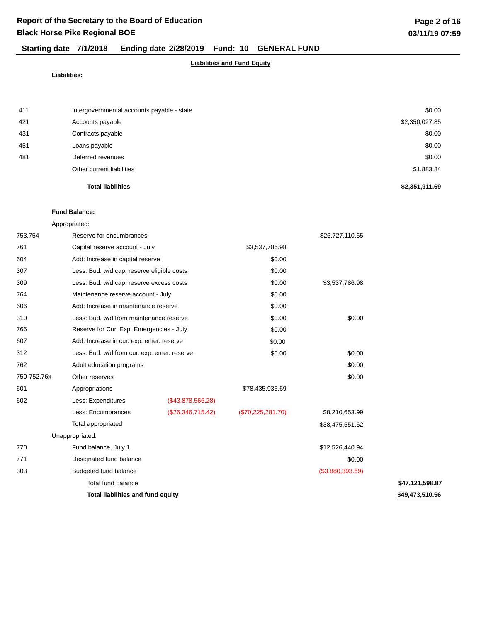#### **Liabilities and Fund Equity**

#### **Liabilities:**

|     | <b>Total liabilities</b>                   | \$2,351,911.69 |
|-----|--------------------------------------------|----------------|
|     | Other current liabilities                  | \$1,883.84     |
| 481 | Deferred revenues                          | \$0.00         |
| 451 | Loans payable                              | \$0.00         |
| 431 | Contracts payable                          | \$0.00         |
| 421 | Accounts payable                           | \$2,350,027.85 |
| 411 | Intergovernmental accounts payable - state | \$0.00         |

# **Fund Balance:**

| 753,754     | Reserve for encumbrances                    |                   |                   | \$26,727,110.65  |                 |
|-------------|---------------------------------------------|-------------------|-------------------|------------------|-----------------|
| 761         | Capital reserve account - July              |                   | \$3,537,786.98    |                  |                 |
| 604         | Add: Increase in capital reserve            |                   | \$0.00            |                  |                 |
| 307         | Less: Bud. w/d cap. reserve eligible costs  |                   | \$0.00            |                  |                 |
| 309         | Less: Bud. w/d cap. reserve excess costs    |                   | \$0.00            | \$3,537,786.98   |                 |
| 764         | Maintenance reserve account - July          |                   | \$0.00            |                  |                 |
| 606         | Add: Increase in maintenance reserve        |                   | \$0.00            |                  |                 |
| 310         | Less: Bud. w/d from maintenance reserve     |                   | \$0.00            | \$0.00           |                 |
| 766         | Reserve for Cur. Exp. Emergencies - July    |                   | \$0.00            |                  |                 |
| 607         | Add: Increase in cur. exp. emer. reserve    |                   | \$0.00            |                  |                 |
| 312         | Less: Bud. w/d from cur. exp. emer. reserve |                   | \$0.00            | \$0.00           |                 |
| 762         | Adult education programs                    |                   |                   | \$0.00           |                 |
| 750-752,76x | Other reserves                              |                   |                   | \$0.00           |                 |
| 601         | Appropriations                              |                   | \$78,435,935.69   |                  |                 |
| 602         | Less: Expenditures                          | (\$43,878,566.28) |                   |                  |                 |
|             | Less: Encumbrances                          | (\$26,346,715.42) | (\$70,225,281.70) | \$8,210,653.99   |                 |
|             | Total appropriated                          |                   |                   | \$38,475,551.62  |                 |
|             | Unappropriated:                             |                   |                   |                  |                 |
| 770         | Fund balance, July 1                        |                   |                   | \$12,526,440.94  |                 |
| 771         | Designated fund balance                     |                   |                   | \$0.00           |                 |
| 303         | Budgeted fund balance                       |                   |                   | (\$3,880,393.69) |                 |
|             | Total fund balance                          |                   |                   |                  | \$47,121,598.87 |
|             | <b>Total liabilities and fund equity</b>    |                   |                   |                  | \$49,473,510.56 |
|             |                                             |                   |                   |                  |                 |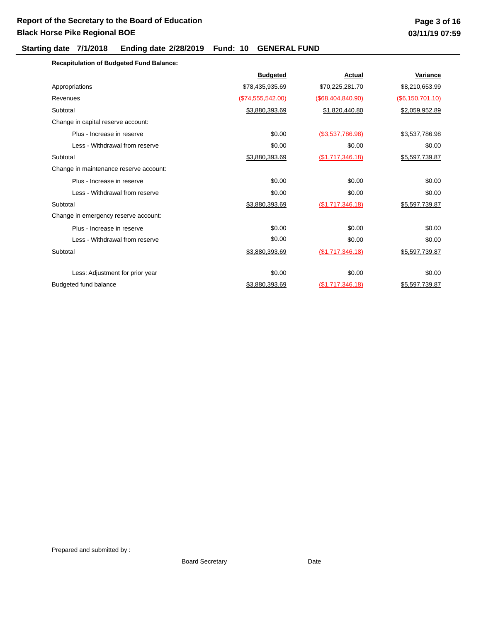### **Starting date 7/1/2018 Ending date 2/28/2019 Fund: 10 GENERAL FUND**

| <b>Recapitulation of Budgeted Fund Balance:</b> |                   |                     |                  |
|-------------------------------------------------|-------------------|---------------------|------------------|
|                                                 | <b>Budgeted</b>   | <b>Actual</b>       | Variance         |
| Appropriations                                  | \$78,435,935.69   | \$70,225,281.70     | \$8,210,653.99   |
| Revenues                                        | (\$74,555,542.00) | (\$68,404,840.90)   | (\$6,150,701.10) |
| Subtotal                                        | \$3,880,393.69    | \$1,820,440.80      | \$2,059,952.89   |
| Change in capital reserve account:              |                   |                     |                  |
| Plus - Increase in reserve                      | \$0.00            | (\$3,537,786.98)    | \$3,537,786.98   |
| Less - Withdrawal from reserve                  | \$0.00            | \$0.00              | \$0.00           |
| Subtotal                                        | \$3,880,393.69    | $($ \$1,717,346.18) | \$5,597,739.87   |
| Change in maintenance reserve account:          |                   |                     |                  |
| Plus - Increase in reserve                      | \$0.00            | \$0.00              | \$0.00           |
| Less - Withdrawal from reserve                  | \$0.00            | \$0.00              | \$0.00           |
| Subtotal                                        | \$3,880,393.69    | (\$1,717,346.18)    | \$5,597,739.87   |
| Change in emergency reserve account:            |                   |                     |                  |
| Plus - Increase in reserve                      | \$0.00            | \$0.00              | \$0.00           |
| Less - Withdrawal from reserve                  | \$0.00            | \$0.00              | \$0.00           |
| Subtotal                                        | \$3,880,393.69    | (\$1,717,346.18)    | \$5,597,739.87   |
|                                                 |                   |                     |                  |
| Less: Adjustment for prior year                 | \$0.00            | \$0.00              | \$0.00           |
| Budgeted fund balance                           | \$3,880,393.69    | (\$1,717,346.18)    | \$5,597,739.87   |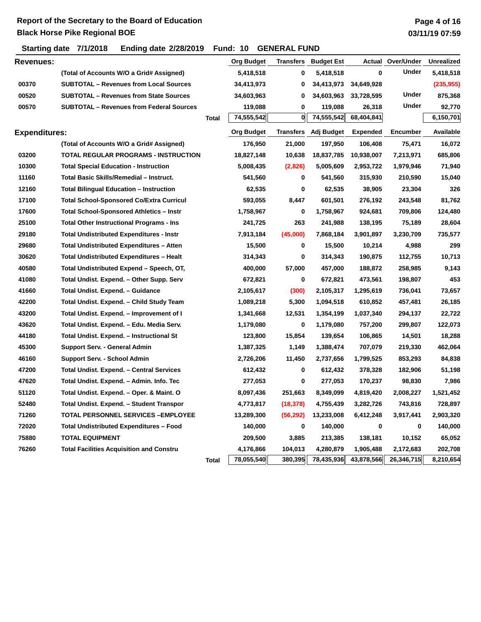# **Page 4 of 16 03/11/19 07:59**

**Starting date 7/1/2018 Ending date 2/28/2019 Fund: 10 GENERAL FUND**

| <b>Revenues:</b>     |                                                 |              | <b>Org Budget</b> | Transfers | <b>Budget Est</b>           | Actual          | Over/Under      | <b>Unrealized</b> |
|----------------------|-------------------------------------------------|--------------|-------------------|-----------|-----------------------------|-----------------|-----------------|-------------------|
|                      | (Total of Accounts W/O a Grid# Assigned)        |              | 5,418,518         | 0         | 5,418,518                   | $\bf{0}$        | Under           | 5,418,518         |
| 00370                | <b>SUBTOTAL - Revenues from Local Sources</b>   |              | 34,413,973        | 0         | 34,413,973                  | 34,649,928      |                 | (235, 955)        |
| 00520                | <b>SUBTOTAL - Revenues from State Sources</b>   |              | 34,603,963        | 0         | 34,603,963                  | 33,728,595      | Under           | 875,368           |
| 00570                | <b>SUBTOTAL - Revenues from Federal Sources</b> |              | 119,088           | 0         | 119,088                     | 26,318          | Under           | 92,770            |
|                      |                                                 | <b>Total</b> | 74,555,542        | 0         | 74,555,542                  | 68,404,841      |                 | 6,150,701         |
| <b>Expenditures:</b> |                                                 |              | <b>Org Budget</b> |           | <b>Transfers</b> Adj Budget | <b>Expended</b> | <b>Encumber</b> | Available         |
|                      | (Total of Accounts W/O a Grid# Assigned)        |              | 176,950           | 21,000    | 197,950                     | 106,408         | 75,471          | 16,072            |
| 03200                | TOTAL REGULAR PROGRAMS - INSTRUCTION            |              | 18,827,148        | 10,638    | 18,837,785                  | 10,938,007      | 7,213,971       | 685,806           |
| 10300                | <b>Total Special Education - Instruction</b>    |              | 5,008,435         | (2,826)   | 5,005,609                   | 2,953,722       | 1,979,946       | 71,940            |
| 11160                | Total Basic Skills/Remedial - Instruct.         |              | 541,560           | 0         | 541,560                     | 315,930         | 210,590         | 15,040            |
| 12160                | <b>Total Bilingual Education - Instruction</b>  |              | 62,535            | 0         | 62,535                      | 38,905          | 23,304          | 326               |
| 17100                | <b>Total School-Sponsored Co/Extra Curricul</b> |              | 593,055           | 8,447     | 601,501                     | 276,192         | 243,548         | 81,762            |
| 17600                | <b>Total School-Sponsored Athletics - Instr</b> |              | 1,758,967         | 0         | 1,758,967                   | 924,681         | 709,806         | 124,480           |
| 25100                | <b>Total Other Instructional Programs - Ins</b> |              | 241,725           | 263       | 241,988                     | 138,195         | 75,189          | 28,604            |
| 29180                | <b>Total Undistributed Expenditures - Instr</b> |              | 7,913,184         | (45,000)  | 7,868,184                   | 3,901,897       | 3,230,709       | 735,577           |
| 29680                | Total Undistributed Expenditures - Atten        |              | 15,500            | 0         | 15,500                      | 10,214          | 4,988           | 299               |
| 30620                | <b>Total Undistributed Expenditures - Healt</b> |              | 314,343           | 0         | 314,343                     | 190,875         | 112,755         | 10,713            |
| 40580                | Total Undistributed Expend - Speech, OT,        |              | 400,000           | 57,000    | 457,000                     | 188,872         | 258,985         | 9,143             |
| 41080                | Total Undist. Expend. - Other Supp. Serv        |              | 672,821           | 0         | 672,821                     | 473,561         | 198,807         | 453               |
| 41660                | Total Undist. Expend. - Guidance                |              | 2,105,617         | (300)     | 2,105,317                   | 1,295,619       | 736,041         | 73,657            |
| 42200                | Total Undist. Expend. - Child Study Team        |              | 1,089,218         | 5,300     | 1,094,518                   | 610,852         | 457,481         | 26,185            |
| 43200                | Total Undist. Expend. - Improvement of I        |              | 1,341,668         | 12,531    | 1,354,199                   | 1,037,340       | 294,137         | 22,722            |
| 43620                | Total Undist. Expend. - Edu. Media Serv.        |              | 1,179,080         | 0         | 1,179,080                   | 757,200         | 299,807         | 122,073           |
| 44180                | Total Undist. Expend. - Instructional St        |              | 123,800           | 15,854    | 139,654                     | 106,865         | 14,501          | 18,288            |
| 45300                | Support Serv. - General Admin                   |              | 1,387,325         | 1,149     | 1,388,474                   | 707,079         | 219,330         | 462,064           |
| 46160                | Support Serv. - School Admin                    |              | 2,726,206         | 11,450    | 2,737,656                   | 1,799,525       | 853,293         | 84,838            |
| 47200                | Total Undist. Expend. - Central Services        |              | 612,432           | 0         | 612,432                     | 378,328         | 182,906         | 51,198            |
| 47620                | Total Undist. Expend. - Admin. Info. Tec        |              | 277,053           | 0         | 277,053                     | 170,237         | 98,830          | 7,986             |
| 51120                | Total Undist. Expend. - Oper. & Maint. O        |              | 8,097,436         | 251,663   | 8,349,099                   | 4,819,420       | 2,008,227       | 1,521,452         |
| 52480                | Total Undist. Expend. - Student Transpor        |              | 4,773,817         | (18, 378) | 4,755,439                   | 3,282,726       | 743,816         | 728,897           |
| 71260                | TOTAL PERSONNEL SERVICES - EMPLOYEE             |              | 13,289,300        | (56, 292) | 13,233,008                  | 6,412,248       | 3,917,441       | 2,903,320         |
| 72020                | <b>Total Undistributed Expenditures - Food</b>  |              | 140,000           | 0         | 140,000                     | 0               | 0               | 140,000           |
| 75880                | <b>TOTAL EQUIPMENT</b>                          |              | 209,500           | 3,885     | 213,385                     | 138,181         | 10,152          | 65,052            |
| 76260                | <b>Total Facilities Acquisition and Constru</b> |              | 4,176,866         | 104,013   | 4,280,879                   | 1,905,488       | 2,172,683       | 202,708           |
|                      |                                                 | Total        | 78,055,540        | 380,395   | 78,435,936                  | 43,878,566      | 26,346,715      | 8,210,654         |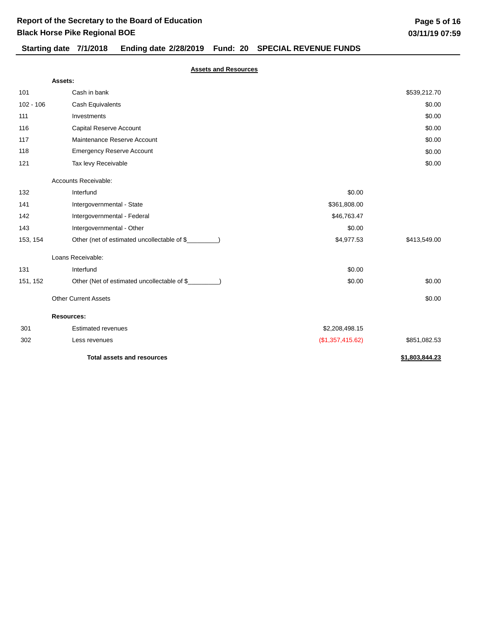# **Starting date 7/1/2018 Ending date 2/28/2019 Fund: 20 SPECIAL REVENUE FUNDS**

|             | Assets:                                      |                  |                |
|-------------|----------------------------------------------|------------------|----------------|
| 101         | Cash in bank                                 |                  | \$539,212.70   |
| $102 - 106$ | Cash Equivalents                             |                  | \$0.00         |
| 111         | Investments                                  |                  | \$0.00         |
| 116         | <b>Capital Reserve Account</b>               |                  | \$0.00         |
| 117         | Maintenance Reserve Account                  |                  | \$0.00         |
| 118         | <b>Emergency Reserve Account</b>             |                  | \$0.00         |
| 121         | Tax levy Receivable                          |                  | \$0.00         |
|             | Accounts Receivable:                         |                  |                |
| 132         | Interfund                                    | \$0.00           |                |
| 141         | Intergovernmental - State                    | \$361,808.00     |                |
| 142         | Intergovernmental - Federal                  | \$46,763.47      |                |
| 143         | Intergovernmental - Other                    | \$0.00           |                |
| 153, 154    | Other (net of estimated uncollectable of \$_ | \$4,977.53       | \$413,549.00   |
|             | Loans Receivable:                            |                  |                |
| 131         | Interfund                                    | \$0.00           |                |
| 151, 152    | Other (Net of estimated uncollectable of \$  | \$0.00           | \$0.00         |
|             | <b>Other Current Assets</b>                  |                  | \$0.00         |
|             | <b>Resources:</b>                            |                  |                |
| 301         | <b>Estimated revenues</b>                    | \$2,208,498.15   |                |
| 302         | Less revenues                                | (\$1,357,415.62) | \$851,082.53   |
|             | <b>Total assets and resources</b>            |                  | \$1,803,844.23 |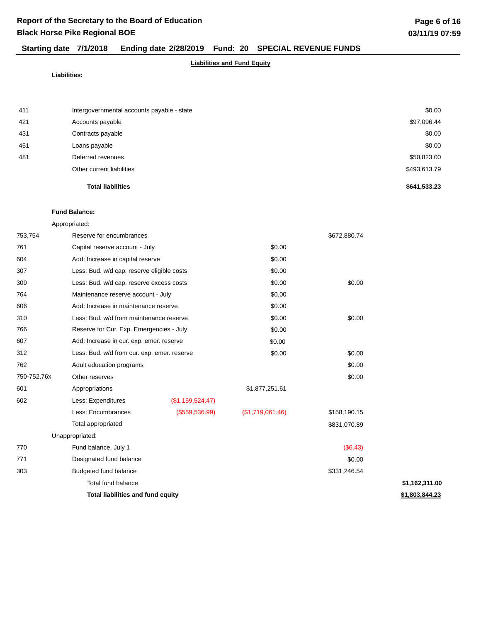## **Starting date 7/1/2018 Ending date 2/28/2019 Fund: 20 SPECIAL REVENUE FUNDS**

#### **Liabilities and Fund Equity**

#### **Liabilities:**

|     | <b>Total liabilities</b>                   | \$641,533.23 |
|-----|--------------------------------------------|--------------|
|     | Other current liabilities                  | \$493,613.79 |
| 481 | Deferred revenues                          | \$50,823.00  |
| 451 | Loans payable                              | \$0.00       |
| 431 | Contracts payable                          | \$0.00       |
| 421 | Accounts payable                           | \$97,096.44  |
| 411 | Intergovernmental accounts payable - state | \$0.00       |
|     |                                            |              |

#### **Fund Balance:**

| 753,754     | Reserve for encumbrances                    |                  |                  | \$672,880.74 |                |
|-------------|---------------------------------------------|------------------|------------------|--------------|----------------|
| 761         | Capital reserve account - July              |                  | \$0.00           |              |                |
| 604         | Add: Increase in capital reserve            |                  | \$0.00           |              |                |
| 307         | Less: Bud. w/d cap. reserve eligible costs  |                  | \$0.00           |              |                |
| 309         | Less: Bud. w/d cap. reserve excess costs    |                  | \$0.00           | \$0.00       |                |
| 764         | Maintenance reserve account - July          |                  | \$0.00           |              |                |
| 606         | Add: Increase in maintenance reserve        |                  | \$0.00           |              |                |
| 310         | Less: Bud. w/d from maintenance reserve     |                  | \$0.00           | \$0.00       |                |
| 766         | Reserve for Cur. Exp. Emergencies - July    |                  | \$0.00           |              |                |
| 607         | Add: Increase in cur. exp. emer. reserve    |                  | \$0.00           |              |                |
| 312         | Less: Bud. w/d from cur. exp. emer. reserve |                  | \$0.00           | \$0.00       |                |
| 762         | Adult education programs                    |                  |                  | \$0.00       |                |
| 750-752,76x | Other reserves                              |                  |                  | \$0.00       |                |
| 601         | Appropriations                              |                  | \$1,877,251.61   |              |                |
| 602         | Less: Expenditures                          | (\$1,159,524.47) |                  |              |                |
|             | Less: Encumbrances                          | (\$559,536.99)   | (\$1,719,061.46) | \$158,190.15 |                |
|             | Total appropriated                          |                  |                  | \$831,070.89 |                |
|             | Unappropriated:                             |                  |                  |              |                |
| 770         | Fund balance, July 1                        |                  |                  | (S6.43)      |                |
| 771         | Designated fund balance                     |                  |                  | \$0.00       |                |
| 303         | Budgeted fund balance                       |                  |                  | \$331,246.54 |                |
|             | Total fund balance                          |                  |                  |              | \$1,162,311.00 |
|             | <b>Total liabilities and fund equity</b>    |                  |                  |              | \$1,803,844.23 |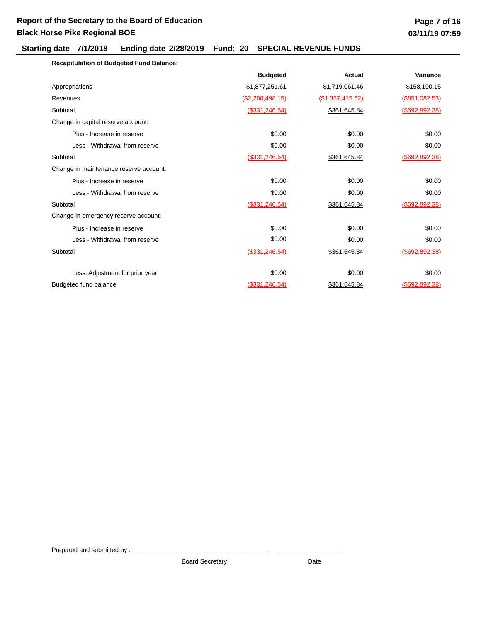### **Starting date 7/1/2018 Ending date 2/28/2019 Fund: 20 SPECIAL REVENUE FUNDS**

| <b>Recapitulation of Budgeted Fund Balance:</b> |
|-------------------------------------------------|
|-------------------------------------------------|

|                                        | <b>Budgeted</b>   | <b>Actual</b>    | Variance          |
|----------------------------------------|-------------------|------------------|-------------------|
| Appropriations                         | \$1,877,251.61    | \$1,719,061.46   | \$158,190.15      |
| Revenues                               | (\$2,208,498.15)  | (\$1,357,415.62) | (\$851,082.53)    |
| Subtotal                               | $($ \$331,246.54) | \$361,645.84     | $($ \$692,892.38) |
| Change in capital reserve account:     |                   |                  |                   |
| Plus - Increase in reserve             | \$0.00            | \$0.00           | \$0.00            |
| Less - Withdrawal from reserve         | \$0.00            | \$0.00           | \$0.00            |
| Subtotal                               | $($ \$331,246.54) | \$361,645.84     | (\$692, 892.38)   |
| Change in maintenance reserve account: |                   |                  |                   |
| Plus - Increase in reserve             | \$0.00            | \$0.00           | \$0.00            |
| Less - Withdrawal from reserve         | \$0.00            | \$0.00           | \$0.00            |
| Subtotal                               | $($ \$331,246.54) | \$361,645.84     | $($ \$692,892.38) |
| Change in emergency reserve account:   |                   |                  |                   |
| Plus - Increase in reserve             | \$0.00            | \$0.00           | \$0.00            |
| Less - Withdrawal from reserve         | \$0.00            | \$0.00           | \$0.00            |
| Subtotal                               | $($ \$331,246.54) | \$361,645.84     | (\$692, 892.38)   |
|                                        |                   |                  |                   |
| Less: Adjustment for prior year        | \$0.00            | \$0.00           | \$0.00            |
| Budgeted fund balance                  | (\$331, 246.54)   | \$361,645.84     | $($ \$692,892.38) |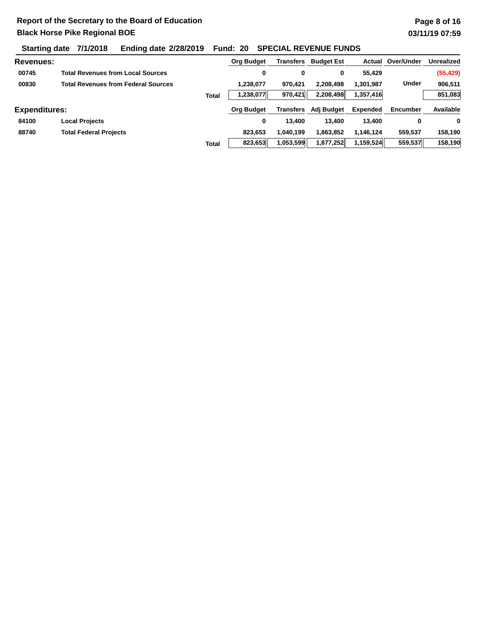# **Starting date 7/1/2018 Ending date 2/28/2019 Fund: 20 SPECIAL REVENUE FUNDS**

| <b>Revenues:</b>     |                                            |              | Org Budget        | Transfers | <b>Budget Est</b> | Actual          | Over/Under      | <b>Unrealized</b> |
|----------------------|--------------------------------------------|--------------|-------------------|-----------|-------------------|-----------------|-----------------|-------------------|
| 00745                | <b>Total Revenues from Local Sources</b>   |              | 0                 | 0         | 0                 | 55,429          |                 | (55, 429)         |
| 00830                | <b>Total Revenues from Federal Sources</b> |              | 1,238,077         | 970.421   | 2,208,498         | 1,301,987       | <b>Under</b>    | 906,511           |
|                      |                                            | <b>Total</b> | 1,238,077         | 970,421   | 2,208,498         | 1,357,416       |                 | 851,083           |
| <b>Expenditures:</b> |                                            |              | <b>Org Budget</b> | Transfers | Adj Budget        | <b>Expended</b> | <b>Encumber</b> | Available         |
| 84100                | <b>Local Projects</b>                      |              | 0                 | 13,400    | 13.400            | 13.400          | 0               | 0                 |
| 88740                | <b>Total Federal Projects</b>              |              | 823.653           | 1,040,199 | 863,852           | 1.146.124       | 559.537         | 158.190           |
|                      |                                            | <b>Total</b> | 823,653           | 1,053,599 | 1,877,252         | 1,159,524       | 559,537         | 158,190           |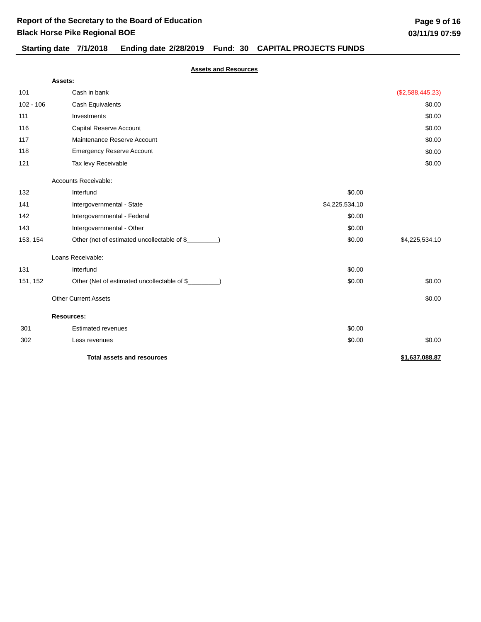# **Starting date 7/1/2018 Ending date 2/28/2019 Fund: 30 CAPITAL PROJECTS FUNDS**

|             | Assets:                                              |                |                  |
|-------------|------------------------------------------------------|----------------|------------------|
| 101         | Cash in bank                                         |                | (\$2,588,445.23) |
| $102 - 106$ | Cash Equivalents                                     |                | \$0.00           |
| 111         | Investments                                          |                | \$0.00           |
| 116         | Capital Reserve Account                              |                | \$0.00           |
| 117         | Maintenance Reserve Account                          |                | \$0.00           |
| 118         | <b>Emergency Reserve Account</b>                     |                | \$0.00           |
| 121         | Tax levy Receivable                                  |                | \$0.00           |
|             | Accounts Receivable:                                 |                |                  |
| 132         | Interfund                                            | \$0.00         |                  |
| 141         | Intergovernmental - State                            | \$4,225,534.10 |                  |
| 142         | Intergovernmental - Federal                          | \$0.00         |                  |
| 143         | Intergovernmental - Other                            | \$0.00         |                  |
| 153, 154    | Other (net of estimated uncollectable of \$_         | \$0.00         | \$4,225,534.10   |
|             | Loans Receivable:                                    |                |                  |
| 131         | Interfund                                            | \$0.00         |                  |
| 151, 152    | Other (Net of estimated uncollectable of \$________) | \$0.00         | \$0.00           |
|             | <b>Other Current Assets</b>                          |                | \$0.00           |
|             | <b>Resources:</b>                                    |                |                  |
| 301         | <b>Estimated revenues</b>                            | \$0.00         |                  |
| 302         | Less revenues                                        | \$0.00         | \$0.00           |
|             | <b>Total assets and resources</b>                    |                | \$1,637,088.87   |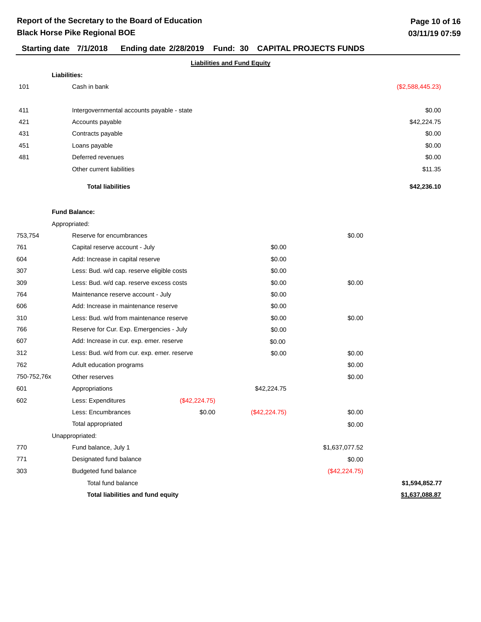# **Starting date 7/1/2018 Ending date 2/28/2019 Fund: 30 CAPITAL PROJECTS FUNDS**

|     | Liabilities:                               |                  |
|-----|--------------------------------------------|------------------|
| 101 | Cash in bank                               | (\$2,588,445.23) |
| 411 | Intergovernmental accounts payable - state | \$0.00           |
| 421 | Accounts payable                           | \$42,224.75      |
| 431 | Contracts payable                          | \$0.00           |
| 451 | Loans payable                              | \$0.00           |
| 481 | Deferred revenues                          | \$0.00           |
|     | Other current liabilities                  | \$11.35          |
|     | <b>Total liabilities</b>                   | \$42,236,10      |

#### **Fund Balance:**

| 753,754     | Reserve for encumbrances                    |               |               | \$0.00         |                |
|-------------|---------------------------------------------|---------------|---------------|----------------|----------------|
| 761         | Capital reserve account - July              |               | \$0.00        |                |                |
| 604         | Add: Increase in capital reserve            |               | \$0.00        |                |                |
| 307         | Less: Bud. w/d cap. reserve eligible costs  |               | \$0.00        |                |                |
| 309         | Less: Bud. w/d cap. reserve excess costs    |               | \$0.00        | \$0.00         |                |
| 764         | Maintenance reserve account - July          |               | \$0.00        |                |                |
| 606         | Add: Increase in maintenance reserve        |               | \$0.00        |                |                |
| 310         | Less: Bud. w/d from maintenance reserve     |               | \$0.00        | \$0.00         |                |
| 766         | Reserve for Cur. Exp. Emergencies - July    |               | \$0.00        |                |                |
| 607         | Add: Increase in cur. exp. emer. reserve    |               | \$0.00        |                |                |
| 312         | Less: Bud. w/d from cur. exp. emer. reserve |               | \$0.00        | \$0.00         |                |
| 762         | Adult education programs                    |               |               | \$0.00         |                |
| 750-752,76x | Other reserves                              |               |               | \$0.00         |                |
| 601         | Appropriations                              |               | \$42,224.75   |                |                |
| 602         | Less: Expenditures                          | (\$42,224.75) |               |                |                |
|             | Less: Encumbrances                          | \$0.00        | (\$42,224.75) | \$0.00         |                |
|             | Total appropriated                          |               |               | \$0.00         |                |
|             | Unappropriated:                             |               |               |                |                |
| 770         | Fund balance, July 1                        |               |               | \$1,637,077.52 |                |
| 771         | Designated fund balance                     |               |               | \$0.00         |                |
| 303         | Budgeted fund balance                       |               |               | (\$42,224.75)  |                |
|             | Total fund balance                          |               |               |                | \$1,594,852.77 |
|             | <b>Total liabilities and fund equity</b>    |               |               |                | \$1,637,088.87 |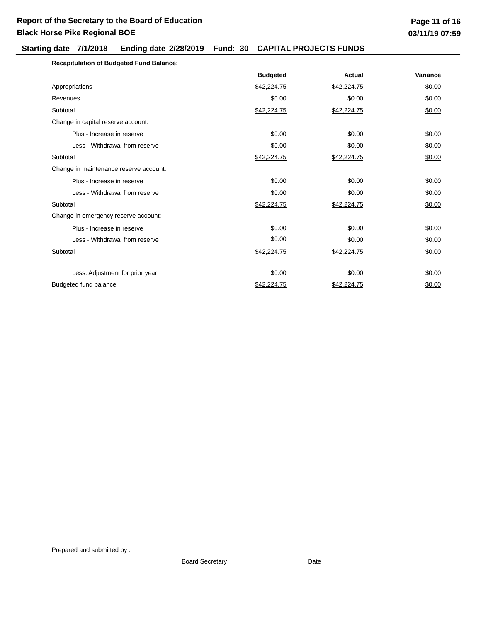### **Starting date 7/1/2018 Ending date 2/28/2019 Fund: 30 CAPITAL PROJECTS FUNDS**

| <b>Recapitulation of Budgeted Fund Balance:</b> |                 |             |          |
|-------------------------------------------------|-----------------|-------------|----------|
|                                                 | <b>Budgeted</b> | Actual      | Variance |
| Appropriations                                  | \$42,224.75     | \$42,224.75 | \$0.00   |
| Revenues                                        | \$0.00          | \$0.00      | \$0.00   |
| Subtotal                                        | \$42,224.75     | \$42,224.75 | \$0.00   |
| Change in capital reserve account:              |                 |             |          |
| Plus - Increase in reserve                      | \$0.00          | \$0.00      | \$0.00   |
| Less - Withdrawal from reserve                  | \$0.00          | \$0.00      | \$0.00   |
| Subtotal                                        | \$42,224.75     | \$42,224.75 | \$0.00   |
| Change in maintenance reserve account:          |                 |             |          |
| Plus - Increase in reserve                      | \$0.00          | \$0.00      | \$0.00   |
| Less - Withdrawal from reserve                  | \$0.00          | \$0.00      | \$0.00   |
| Subtotal                                        | \$42,224.75     | \$42,224.75 | \$0.00   |
| Change in emergency reserve account:            |                 |             |          |
| Plus - Increase in reserve                      | \$0.00          | \$0.00      | \$0.00   |
| Less - Withdrawal from reserve                  | \$0.00          | \$0.00      | \$0.00   |
| Subtotal                                        | \$42,224.75     | \$42,224.75 | \$0.00   |
| Less: Adjustment for prior year                 | \$0.00          | \$0.00      | \$0.00   |
| <b>Budgeted fund balance</b>                    | \$42,224.75     | \$42.224.75 | \$0.00   |

Prepared and submitted by :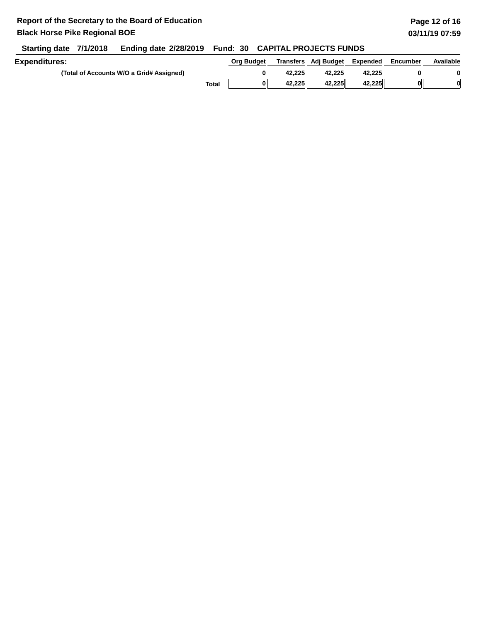**Starting date 7/1/2018 Ending date 2/28/2019 Fund: 30 CAPITAL PROJECTS FUNDS**

| <b>Expenditures:</b>                     |       | Ora Budaet |        | Transfers Adj Budget | Expended | Encumber | Available |
|------------------------------------------|-------|------------|--------|----------------------|----------|----------|-----------|
| (Total of Accounts W/O a Grid# Assigned) |       |            | 42.225 | 42.225               | 42.225   |          |           |
|                                          | Total | 01         | 42.225 | 42,225               | 42.225   |          |           |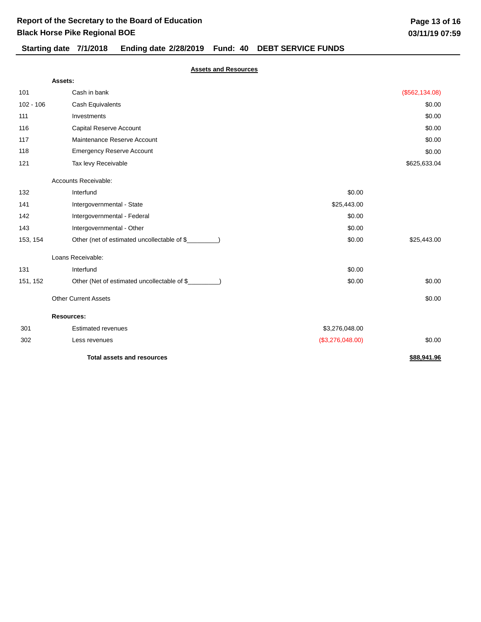# **Black Horse Pike Regional BOE**

# **Starting date 7/1/2018 Ending date 2/28/2019 Fund: 40 DEBT SERVICE FUNDS**

|             | Assets:                                              |                  |                 |
|-------------|------------------------------------------------------|------------------|-----------------|
| 101         | Cash in bank                                         |                  | (\$562, 134.08) |
| $102 - 106$ | Cash Equivalents                                     |                  | \$0.00          |
| 111         | Investments                                          |                  | \$0.00          |
| 116         | Capital Reserve Account                              |                  | \$0.00          |
| 117         | Maintenance Reserve Account                          |                  | \$0.00          |
| 118         | <b>Emergency Reserve Account</b>                     |                  | \$0.00          |
| 121         | Tax levy Receivable                                  |                  | \$625,633.04    |
|             | Accounts Receivable:                                 |                  |                 |
| 132         | Interfund                                            | \$0.00           |                 |
| 141         | Intergovernmental - State                            | \$25,443.00      |                 |
| 142         | Intergovernmental - Federal                          | \$0.00           |                 |
| 143         | Intergovernmental - Other                            | \$0.00           |                 |
| 153, 154    | Other (net of estimated uncollectable of \$_         | \$0.00           | \$25,443.00     |
|             | Loans Receivable:                                    |                  |                 |
| 131         | Interfund                                            | \$0.00           |                 |
| 151, 152    | Other (Net of estimated uncollectable of \$________) | \$0.00           | \$0.00          |
|             | <b>Other Current Assets</b>                          |                  | \$0.00          |
|             | <b>Resources:</b>                                    |                  |                 |
| 301         | <b>Estimated revenues</b>                            | \$3,276,048.00   |                 |
| 302         | Less revenues                                        | (\$3,276,048.00) | \$0.00          |
|             | <b>Total assets and resources</b>                    |                  | \$88,941.96     |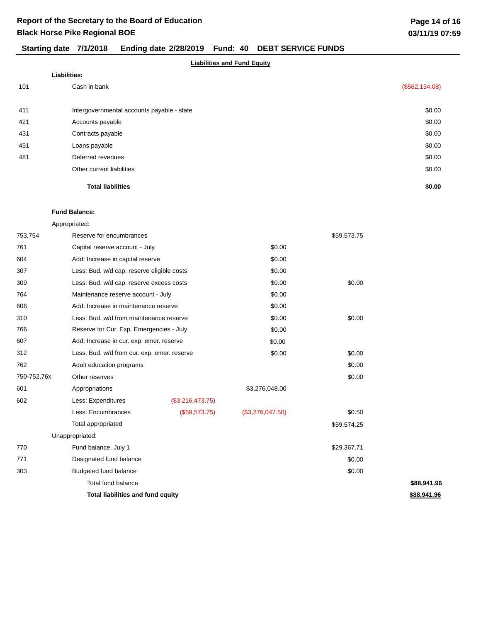# **Starting date 7/1/2018 Ending date 2/28/2019 Fund: 40 DEBT SERVICE FUNDS**

#### **Liabilities and Fund Equity**

|     | Liabilities:                               |                 |  |  |  |
|-----|--------------------------------------------|-----------------|--|--|--|
| 101 | Cash in bank                               | (\$562, 134.08) |  |  |  |
|     |                                            |                 |  |  |  |
| 411 | Intergovernmental accounts payable - state | \$0.00          |  |  |  |
| 421 | Accounts payable                           | \$0.00          |  |  |  |
| 431 | Contracts payable                          | \$0.00          |  |  |  |
| 451 | Loans payable                              | \$0.00          |  |  |  |
| 481 | Deferred revenues                          | \$0.00          |  |  |  |
|     | Other current liabilities                  | \$0.00          |  |  |  |
|     | <b>Total liabilities</b>                   | \$0.00          |  |  |  |

#### **Fund Balance:**

| 753,754     | Reserve for encumbrances                    |                  |                  | \$59,573.75 |             |
|-------------|---------------------------------------------|------------------|------------------|-------------|-------------|
| 761         | Capital reserve account - July              |                  | \$0.00           |             |             |
| 604         | Add: Increase in capital reserve            |                  | \$0.00           |             |             |
| 307         | Less: Bud. w/d cap. reserve eligible costs  |                  | \$0.00           |             |             |
| 309         | Less: Bud. w/d cap. reserve excess costs    |                  | \$0.00           | \$0.00      |             |
| 764         | Maintenance reserve account - July          |                  | \$0.00           |             |             |
| 606         | Add: Increase in maintenance reserve        |                  | \$0.00           |             |             |
| 310         | Less: Bud. w/d from maintenance reserve     |                  | \$0.00           | \$0.00      |             |
| 766         | Reserve for Cur. Exp. Emergencies - July    |                  | \$0.00           |             |             |
| 607         | Add: Increase in cur. exp. emer. reserve    |                  | \$0.00           |             |             |
| 312         | Less: Bud. w/d from cur. exp. emer. reserve |                  | \$0.00           | \$0.00      |             |
| 762         | Adult education programs                    |                  |                  | \$0.00      |             |
| 750-752,76x | Other reserves                              |                  |                  | \$0.00      |             |
| 601         | Appropriations                              |                  | \$3,276,048.00   |             |             |
| 602         | Less: Expenditures                          | (\$3,216,473.75) |                  |             |             |
|             | Less: Encumbrances                          | (\$59,573.75)    | (\$3,276,047.50) | \$0.50      |             |
|             | Total appropriated                          |                  |                  | \$59,574.25 |             |
|             | Unappropriated:                             |                  |                  |             |             |
| 770         | Fund balance, July 1                        |                  |                  | \$29,367.71 |             |
| 771         | Designated fund balance                     |                  |                  | \$0.00      |             |
| 303         | Budgeted fund balance                       |                  |                  | \$0.00      |             |
|             | Total fund balance                          |                  |                  |             | \$88,941.96 |
|             | Total liabilities and fund equity           |                  |                  |             | \$88,941.96 |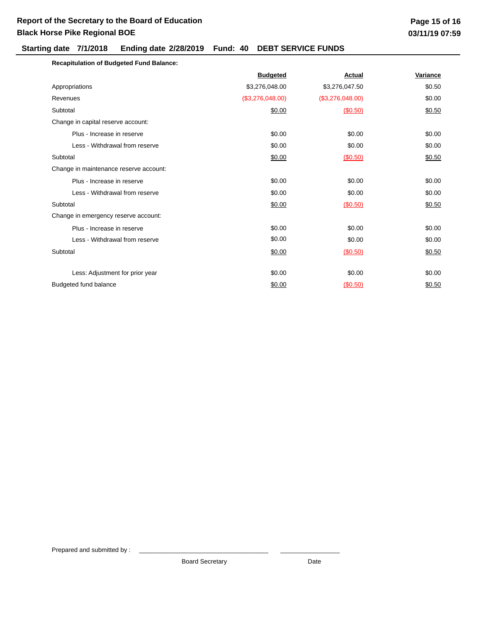### **Starting date 7/1/2018 Ending date 2/28/2019 Fund: 40 DEBT SERVICE FUNDS**

| <b>Recapitulation of Budgeted Fund Balance:</b> |                  |                  |          |
|-------------------------------------------------|------------------|------------------|----------|
|                                                 | <b>Budgeted</b>  | Actual           | Variance |
| Appropriations                                  | \$3,276,048.00   | \$3,276,047.50   | \$0.50   |
| Revenues                                        | (\$3,276,048.00) | (\$3,276,048.00) | \$0.00   |
| Subtotal                                        | \$0.00           | (\$0.50)         | \$0.50   |
| Change in capital reserve account:              |                  |                  |          |
| Plus - Increase in reserve                      | \$0.00           | \$0.00           | \$0.00   |
| Less - Withdrawal from reserve                  | \$0.00           | \$0.00           | \$0.00   |
| Subtotal                                        | \$0.00           | (\$0.50)         | \$0.50   |
| Change in maintenance reserve account:          |                  |                  |          |
| Plus - Increase in reserve                      | \$0.00           | \$0.00           | \$0.00   |
| Less - Withdrawal from reserve                  | \$0.00           | \$0.00           | \$0.00   |
| Subtotal                                        | \$0.00           | (\$0.50)         | \$0.50   |
| Change in emergency reserve account:            |                  |                  |          |
| Plus - Increase in reserve                      | \$0.00           | \$0.00           | \$0.00   |
| Less - Withdrawal from reserve                  | \$0.00           | \$0.00           | \$0.00   |
| Subtotal                                        | \$0.00           | (S0.50)          | \$0.50   |
| Less: Adjustment for prior year                 | \$0.00           | \$0.00           | \$0.00   |
| Budgeted fund balance                           | \$0.00           | (S0.50)          | \$0.50   |